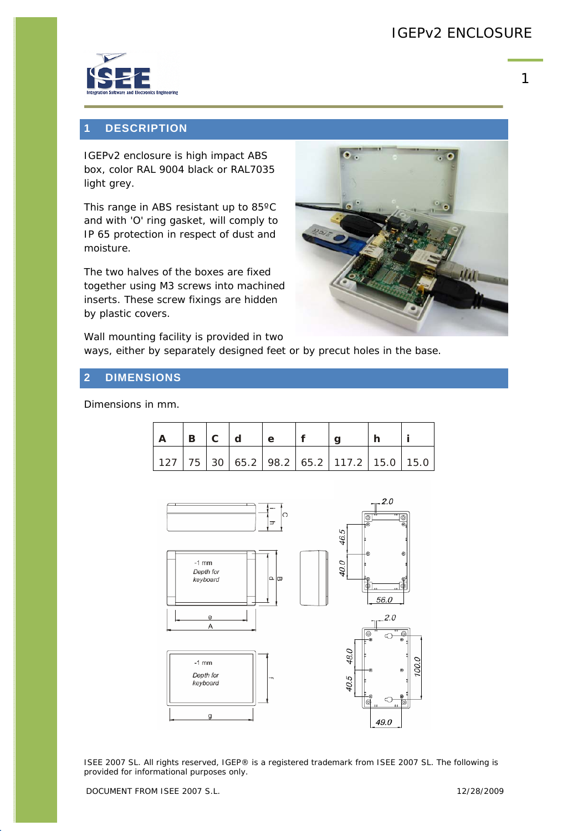

1

### **1 DESCRIPTION**

IGEPv2 enclosure is high impact ABS box, color RAL 9004 black or RAL7035 light grey.

This range in ABS resistant up to 85ºC and with 'O' ring gasket, will comply to IP 65 protection in respect of dust and moisture.

The two halves of the boxes are fixed together using M3 screws into machined inserts. These screw fixings are hidden by plastic covers.

 $\bullet$ .

Wall mounting facility is provided in two ways, either by separately designed feet or by precut holes in the base.

#### **2 DIMENSIONS**

Dimensions in mm.

| $B \mid C$ | l d | e |                                                          |  |
|------------|-----|---|----------------------------------------------------------|--|
|            |     |   | 127   75   30   65.2   98.2   65.2   117.2   15.0   15.0 |  |



ISEE 2007 SL. All rights reserved, IGEP® is a registered trademark from ISEE 2007 SL. The following is provided for informational purposes only.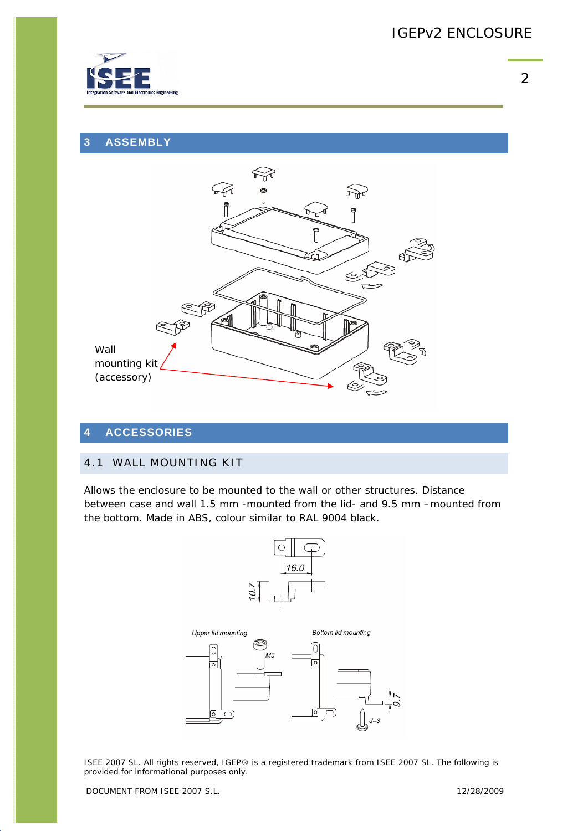

## **3 ASSEMBLY**



### **4 ACCESSORIES**

#### 4.1 WALL MOUNTING KIT

Allows the enclosure to be mounted to the wall or other structures. Distance between case and wall 1.5 mm -mounted from the lid- and 9.5 mm –mounted from the bottom. Made in ABS, colour similar to RAL 9004 black.



ISEE 2007 SL. All rights reserved, IGEP® is a registered trademark from ISEE 2007 SL. The following is provided for informational purposes only.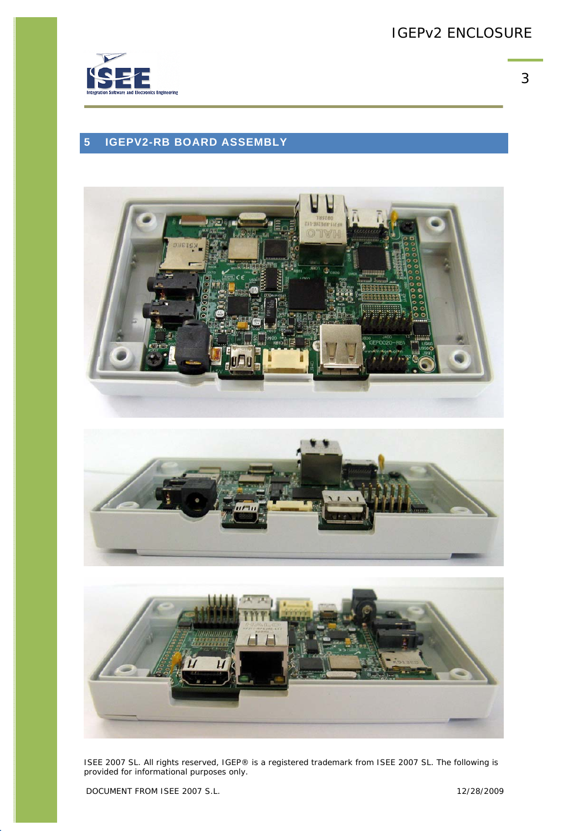

# **5 IGEPV2-RB BOARD ASSEMBLY**







ISEE 2007 SL. All rights reserved, IGEP® is a registered trademark from ISEE 2007 SL. The following is provided for informational purposes only.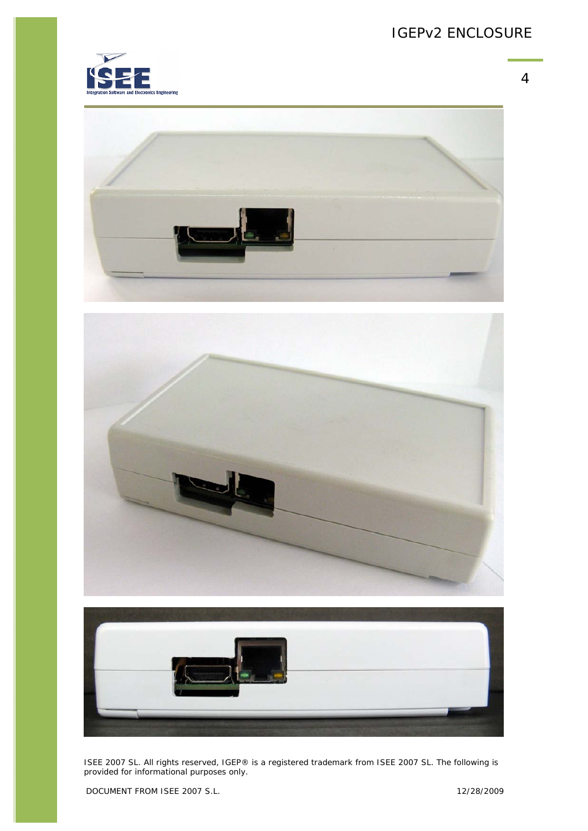









ISEE 2007 SL. All rights reserved, IGEP® is a registered trademark from ISEE 2007 SL. The following is provided for informational purposes only.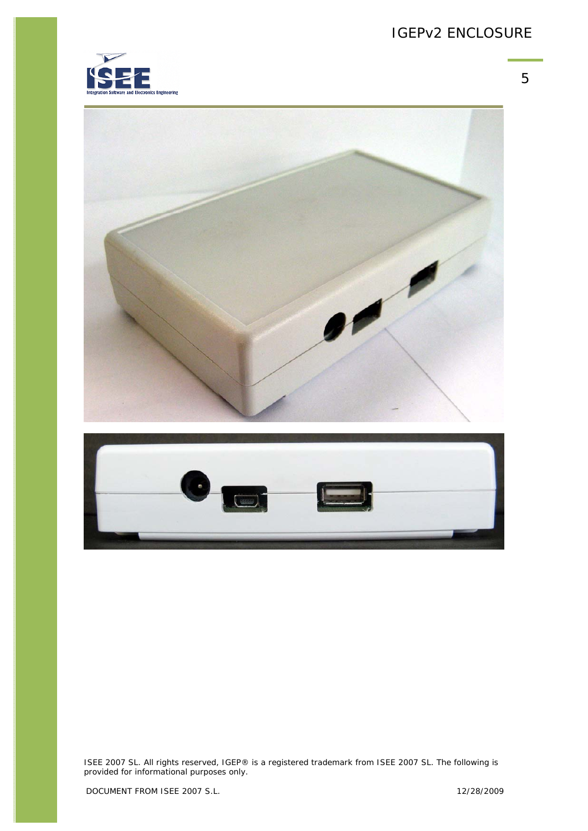5







ISEE 2007 SL. All rights reserved, IGEP® is a registered trademark from ISEE 2007 SL. The following is provided for informational purposes only.